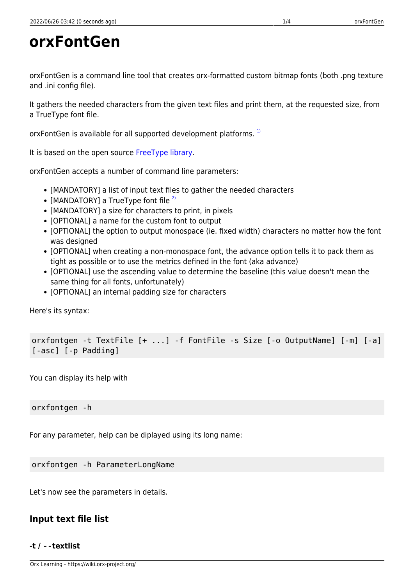orxFontGen is a command line tool that creates orx-formatted custom bitmap fonts (both .png texture and .ini config file).

It gathers the needed characters from the given text files and print them, at the requested size, from a TrueType font file.

orxFontGen is available for all supported development platforms.<sup>[1\)](#page--1-0)</sup>

It is based on the open source [FreeType library.](http://www.freetype.org/)

orxFontGen accepts a number of command line parameters:

- [MANDATORY] a list of input text files to gather the needed characters
- [MANDATORY] a TrueType font file  $^{2)}$  $^{2)}$  $^{2)}$
- [MANDATORY] a size for characters to print, in pixels
- [OPTIONAL] a name for the custom font to output
- [OPTIONAL] the option to output monospace (ie. fixed width) characters no matter how the font was designed
- [OPTIONAL] when creating a non-monospace font, the advance option tells it to pack them as tight as possible or to use the metrics defined in the font (aka advance)
- [OPTIONAL] use the ascending value to determine the baseline (this value doesn't mean the same thing for all fonts, unfortunately)
- [OPTIONAL] an internal padding size for characters

Here's its syntax:

orxfontgen -t TextFile [+ ...] -f FontFile -s Size [-o OutputName] [-m] [-a] [-asc] [-p Padding]

You can display its help with

orxfontgen -h

For any parameter, help can be diplayed using its long name:

orxfontgen -h ParameterLongName

Let's now see the parameters in details.

## **Input text file list**

#### **-t / --textlist**

Orx Learning - https://wiki.orx-project.org/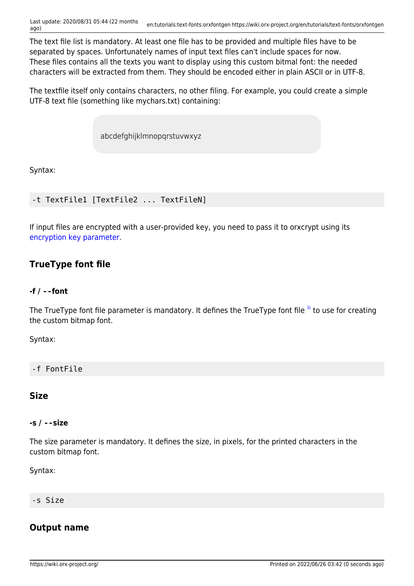The text file list is mandatory. At least one file has to be provided and multiple files have to be separated by spaces. Unfortunately names of input text files can't include spaces for now. These files contains all the texts you want to display using this custom bitmal font: the needed characters will be extracted from them. They should be encoded either in plain ASCII or in UTF-8.

The textfile itself only contains characters, no other filing. For example, you could create a simple UTF-8 text file (something like mychars.txt) containing:

abcdefghijklmnopqrstuvwxyz

Syntax:

```
-t TextFile1 [TextFile2 ... TextFileN]
```
If input files are encrypted with a user-provided key, you need to pass it to orxcrypt using its [encryption key parameter.](#page--1-0)

## **TrueType font file**

#### **-f / --font**

The TrueType font file parameter is mandatory. It defines the TrueType font file  $3$  to use for creating the custom bitmap font.

Syntax:

-f FontFile

## **Size**

#### **-s / --size**

The size parameter is mandatory. It defines the size, in pixels, for the printed characters in the custom bitmap font.

Syntax:

#### -s Size

## **Output name**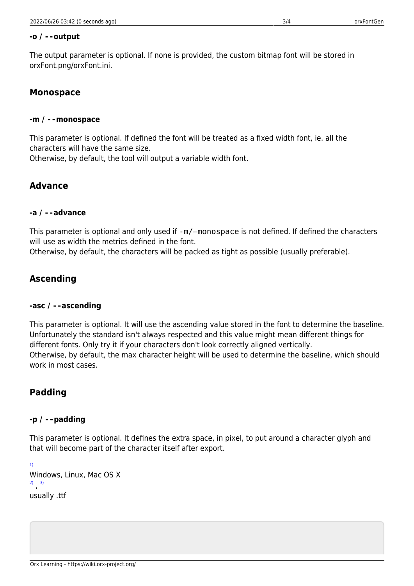The output parameter is optional. If none is provided, the custom bitmap font will be stored in orxFont.png/orxFont.ini.

## **Monospace**

### **-m / --monospace**

This parameter is optional. If defined the font will be treated as a fixed width font, ie. all the characters will have the same size.

Otherwise, by default, the tool will output a variable width font.

# **Advance**

## **-a / --advance**

This parameter is optional and only used if -m/–monospace is not defined. If defined the characters will use as width the metrics defined in the font.

Otherwise, by default, the characters will be packed as tight as possible (usually preferable).

# **Ascending**

## **-asc / --ascending**

This parameter is optional. It will use the ascending value stored in the font to determine the baseline. Unfortunately the standard isn't always respected and this value might mean different things for different fonts. Only try it if your characters don't look correctly aligned vertically. Otherwise, by default, the max character height will be used to determine the baseline, which should work in most cases.

# **Padding**

## **-p / --padding**

This parameter is optional. It defines the extra space, in pixel, to put around a character glyph and that will become part of the character itself after export.

[1\)](#page--1-0) Windows, Linux, Mac OS X [2\)](#page--1-0) , [3\)](#page--1-0) usually .ttf